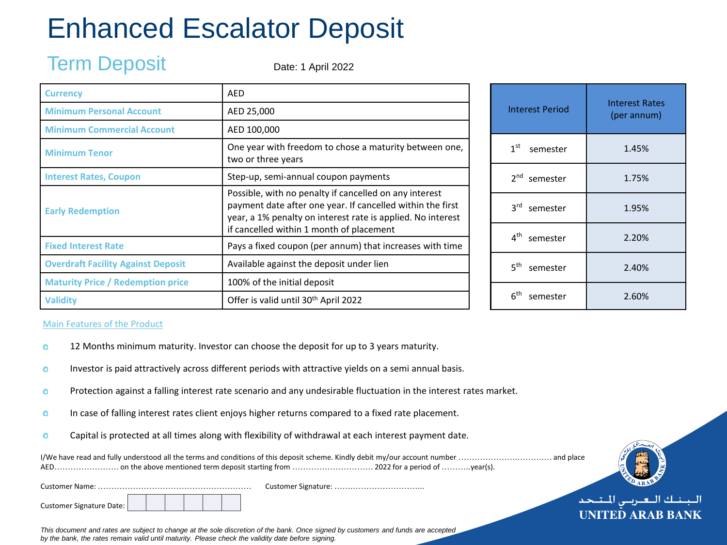## Enhanced Escalator Deposit

### Term Deposit

Date: 1 April 2022

| Currency                                  | <b>AED</b>                                                                                                                                                                                                                      |
|-------------------------------------------|---------------------------------------------------------------------------------------------------------------------------------------------------------------------------------------------------------------------------------|
| <b>Minimum Personal Account</b>           | AED 25,000                                                                                                                                                                                                                      |
| <b>Minimum Commercial Account</b>         | AED 100,000                                                                                                                                                                                                                     |
| <b>Minimum Tenor</b>                      | One year with freedom to chose a maturity between one,<br>two or three years                                                                                                                                                    |
| <b>Interest Rates, Coupon</b>             | Step-up, semi-annual coupon payments                                                                                                                                                                                            |
| <b>Early Redemption</b>                   | Possible, with no penalty if cancelled on any interest<br>payment date after one year. If cancelled within the first<br>year, a 1% penalty on interest rate is applied. No interest<br>if cancelled within 1 month of placement |
| <b>Fixed Interest Rate</b>                | Pays a fixed coupon (per annum) that increases with time                                                                                                                                                                        |
| <b>Overdraft Facility Against Deposit</b> | Available against the deposit under lien                                                                                                                                                                                        |
| <b>Maturity Price / Redemption price</b>  | 100% of the initial deposit                                                                                                                                                                                                     |
| <b>Validity</b>                           | Offer is valid until 30 <sup>th</sup> April 2022                                                                                                                                                                                |

| <b>Interest Period</b>      | <b>Interest Rates</b><br>(per annum) |  |  |  |
|-----------------------------|--------------------------------------|--|--|--|
| $1st$ semester              | 1.45%                                |  |  |  |
| 2 <sup>nd</sup> semester    | 1.75%                                |  |  |  |
| 3rd semester                | 1.95%                                |  |  |  |
| 4 <sup>th</sup> semester    | 2.20%                                |  |  |  |
| $5^{\text{th}}$<br>semester | 2.40%                                |  |  |  |
| 6 <sup>th</sup><br>semester | 2.60%                                |  |  |  |

#### Main Features of the Product

- 12 Months minimum maturity. Investor can choose the deposit for up to 3 years maturity.  $\bullet$
- Investor is paid attractively across different periods with attractive yields on a semi annual basis.  $\bullet$
- Protection against a falling interest rate scenario and any undesirable fluctuation in the interest rates market.  $\bullet$
- In case of falling interest rates client enjoys higher returns compared to a fixed rate placement.  $\bullet$
- Capital is protected at all times along with flexibility of withdrawal at each interest payment date.  $\bullet$

Customer Signature: ……………………………………

Customer Signature Date:



*This document and rates are subject to change at the sole discretion of the bank. Once signed by customers and funds are accepted by the bank, the rates remain valid until maturity. Please check the validity date before signing.*